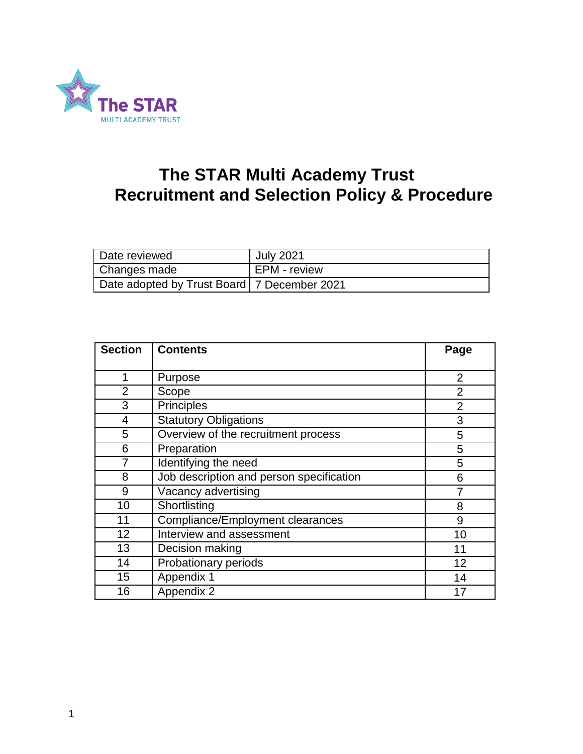

# **The STAR Multi Academy Trust Recruitment and Selection Policy & Procedure**

| Date reviewed                                 | <b>July 2021</b> |
|-----------------------------------------------|------------------|
| Changes made                                  | EPM - review     |
| Date adopted by Trust Board   7 December 2021 |                  |

| <b>Section</b> | <b>Contents</b>                          | Page           |
|----------------|------------------------------------------|----------------|
|                |                                          |                |
| 1              | Purpose                                  | $\overline{2}$ |
| 2              | Scope                                    | $\overline{2}$ |
| 3              | <b>Principles</b>                        | $\overline{2}$ |
| 4              | <b>Statutory Obligations</b>             | 3              |
| 5              | Overview of the recruitment process      | 5              |
| 6              | Preparation                              | 5              |
| 7              | Identifying the need                     | 5              |
| 8              | Job description and person specification | 6              |
| 9              | Vacancy advertising                      |                |
| 10             | Shortlisting                             | 8              |
| 11             | Compliance/Employment clearances         | 9              |
| 12             | Interview and assessment                 | 10             |
| 13             | Decision making                          | 11             |
| 14             | Probationary periods                     | 12             |
| 15             | Appendix 1                               | 14             |
| 16             | Appendix 2                               | 17             |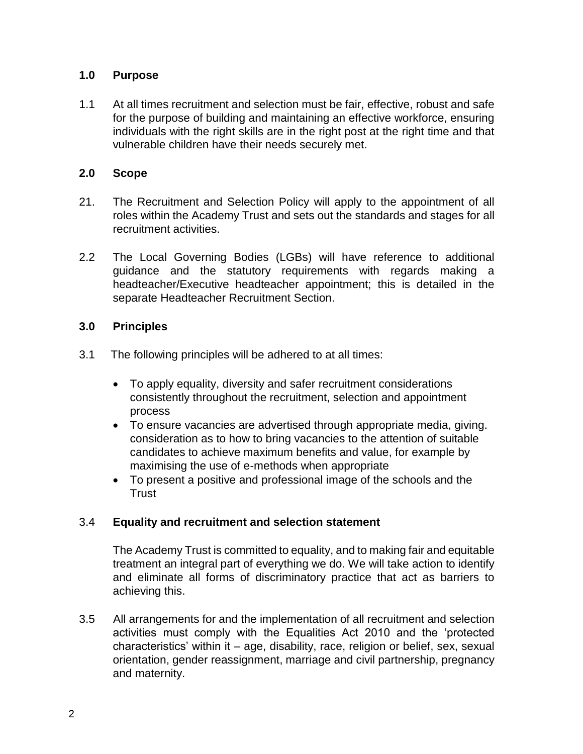## **1.0 Purpose**

1.1 At all times recruitment and selection must be fair, effective, robust and safe for the purpose of building and maintaining an effective workforce, ensuring individuals with the right skills are in the right post at the right time and that vulnerable children have their needs securely met.

#### **2.0 Scope**

- 21.The Recruitment and Selection Policy will apply to the appointment of all roles within the Academy Trust and sets out the standards and stages for all recruitment activities.
- 2.2 The Local Governing Bodies (LGBs) will have reference to additional guidance and the statutory requirements with regards making a headteacher/Executive headteacher appointment; this is detailed in the separate Headteacher Recruitment Section.

## **3.0 Principles**

- 3.1 The following principles will be adhered to at all times:
	- To apply equality, diversity and safer recruitment considerations consistently throughout the recruitment, selection and appointment process
	- To ensure vacancies are advertised through appropriate media, giving. consideration as to how to bring vacancies to the attention of suitable candidates to achieve maximum benefits and value, for example by maximising the use of e-methods when appropriate
	- To present a positive and professional image of the schools and the **Trust**

## 3.4 **Equality and recruitment and selection statement**

The Academy Trust is committed to equality, and to making fair and equitable treatment an integral part of everything we do. We will take action to identify and eliminate all forms of discriminatory practice that act as barriers to achieving this.

3.5 All arrangements for and the implementation of all recruitment and selection activities must comply with the Equalities Act 2010 and the 'protected characteristics' within it – age, disability, race, religion or belief, sex, sexual orientation, gender reassignment, marriage and civil partnership, pregnancy and maternity.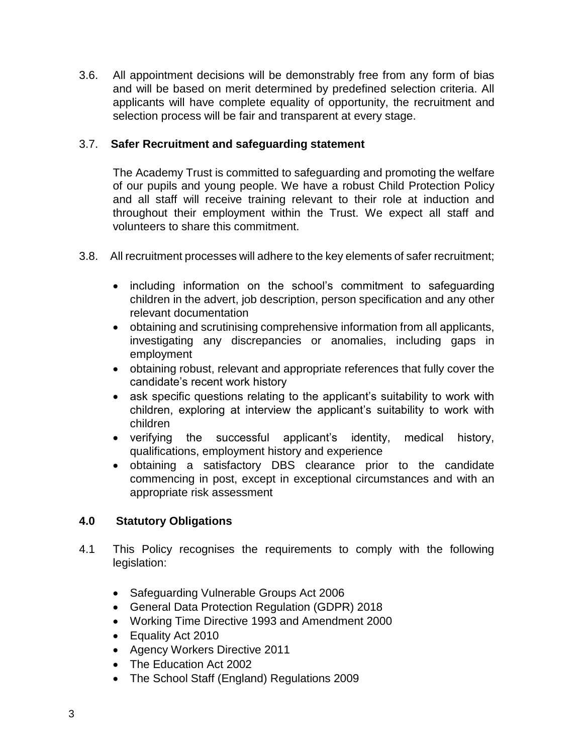3.6. All appointment decisions will be demonstrably free from any form of bias and will be based on merit determined by predefined selection criteria. All applicants will have complete equality of opportunity, the recruitment and selection process will be fair and transparent at every stage.

## 3.7. **Safer Recruitment and safeguarding statement**

The Academy Trust is committed to safeguarding and promoting the welfare of our pupils and young people. We have a robust Child Protection Policy and all staff will receive training relevant to their role at induction and throughout their employment within the Trust. We expect all staff and volunteers to share this commitment.

- 3.8. All recruitment processes will adhere to the key elements of safer recruitment;
	- including information on the school's commitment to safeguarding children in the advert, job description, person specification and any other relevant documentation
	- obtaining and scrutinising comprehensive information from all applicants, investigating any discrepancies or anomalies, including gaps in employment
	- obtaining robust, relevant and appropriate references that fully cover the candidate's recent work history
	- ask specific questions relating to the applicant's suitability to work with children, exploring at interview the applicant's suitability to work with children
	- verifying the successful applicant's identity, medical history, qualifications, employment history and experience
	- obtaining a satisfactory DBS clearance prior to the candidate commencing in post, except in exceptional circumstances and with an appropriate risk assessment

## **4.0 Statutory Obligations**

- 4.1 This Policy recognises the requirements to comply with the following legislation:
	- Safeguarding Vulnerable Groups Act 2006
	- General Data Protection Regulation (GDPR) 2018
	- Working Time Directive 1993 and Amendment 2000
	- Equality Act 2010
	- Agency Workers Directive 2011
	- The Education Act 2002
	- The School Staff (England) Regulations 2009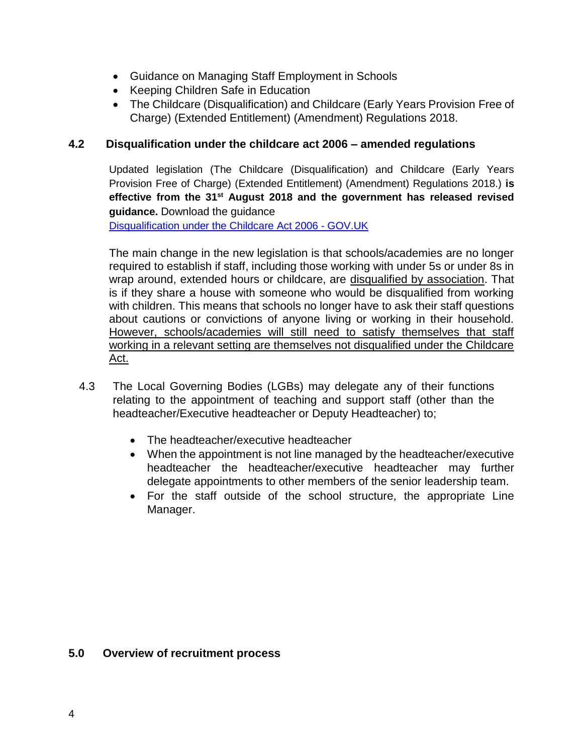- Guidance on Managing Staff Employment in Schools
- Keeping Children Safe in Education
- The Childcare (Disqualification) and Childcare (Early Years Provision Free of Charge) (Extended Entitlement) (Amendment) Regulations 2018.

## **4.2 Disqualification under the childcare act 2006 – amended regulations**

Updated legislation (The Childcare (Disqualification) and Childcare (Early Years Provision Free of Charge) (Extended Entitlement) (Amendment) Regulations 2018.) **is effective from the 31st August 2018 and the government has released revised guidance.** Download the guidance

[Disqualification under the Childcare Act 2006 -](https://www.gov.uk/government/publications/disqualification-under-the-childcare-act-2006?utm_source=92a6ba9a-8a48-4071-9f68-4b901c40d2f9&utm_medium=email&utm_campaign=govuk-notifications&utm_content=immediate) GOV.UK

The main change in the new legislation is that schools/academies are no longer required to establish if staff, including those working with under 5s or under 8s in wrap around, extended hours or childcare, are disqualified by association. That is if they share a house with someone who would be disqualified from working with children. This means that schools no longer have to ask their staff questions about cautions or convictions of anyone living or working in their household. However, schools/academies will still need to satisfy themselves that staff working in a relevant setting are themselves not disqualified under the Childcare Act.

- 4.3 The Local Governing Bodies (LGBs) may delegate any of their functions relating to the appointment of teaching and support staff (other than the headteacher/Executive headteacher or Deputy Headteacher) to;
	- The headteacher/executive headteacher
	- When the appointment is not line managed by the headteacher/executive headteacher the headteacher/executive headteacher may further delegate appointments to other members of the senior leadership team.
	- For the staff outside of the school structure, the appropriate Line Manager.

#### **5.0 Overview of recruitment process**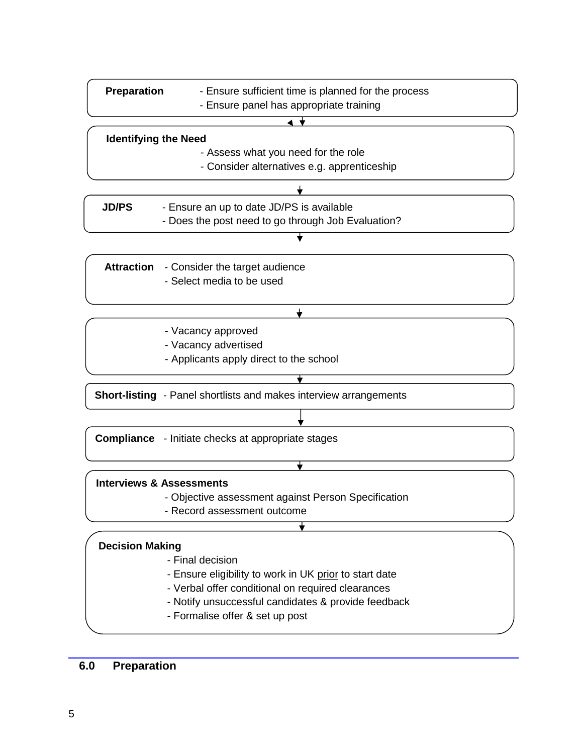| <b>Preparation</b><br>- Ensure sufficient time is planned for the process |                                                                          |  |  |
|---------------------------------------------------------------------------|--------------------------------------------------------------------------|--|--|
| - Ensure panel has appropriate training                                   |                                                                          |  |  |
|                                                                           |                                                                          |  |  |
| <b>Identifying the Need</b>                                               |                                                                          |  |  |
|                                                                           | - Assess what you need for the role                                      |  |  |
| - Consider alternatives e.g. apprenticeship                               |                                                                          |  |  |
|                                                                           |                                                                          |  |  |
|                                                                           |                                                                          |  |  |
| <b>JD/PS</b>                                                              | - Ensure an up to date JD/PS is available                                |  |  |
|                                                                           | - Does the post need to go through Job Evaluation?                       |  |  |
|                                                                           |                                                                          |  |  |
|                                                                           | <b>Attraction</b> - Consider the target audience                         |  |  |
|                                                                           | - Select media to be used                                                |  |  |
|                                                                           |                                                                          |  |  |
|                                                                           |                                                                          |  |  |
|                                                                           | - Vacancy approved                                                       |  |  |
| - Vacancy advertised                                                      |                                                                          |  |  |
|                                                                           | - Applicants apply direct to the school                                  |  |  |
|                                                                           |                                                                          |  |  |
|                                                                           | <b>Short-listing</b> - Panel shortlists and makes interview arrangements |  |  |
|                                                                           |                                                                          |  |  |
|                                                                           |                                                                          |  |  |
| <b>Compliance</b> - Initiate checks at appropriate stages                 |                                                                          |  |  |
|                                                                           |                                                                          |  |  |
|                                                                           |                                                                          |  |  |
|                                                                           | <b>Interviews &amp; Assessments</b>                                      |  |  |
|                                                                           | - Objective assessment against Person Specification                      |  |  |
| - Record assessment outcome                                               |                                                                          |  |  |
|                                                                           |                                                                          |  |  |
|                                                                           |                                                                          |  |  |

## **Decision Making**

- Final decision
- Ensure eligibility to work in UK prior to start date
- Verbal offer conditional on required clearances
- Notify unsuccessful candidates & provide feedback
- Formalise offer & set up post - Enter Equalities information

## **6.0 Preparation**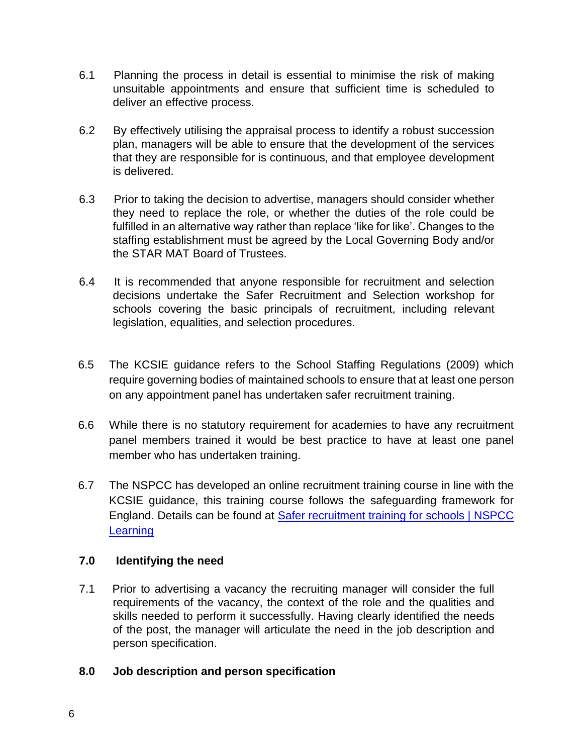- 6.1 Planning the process in detail is essential to minimise the risk of making unsuitable appointments and ensure that sufficient time is scheduled to deliver an effective process.
- 6.2 By effectively utilising the appraisal process to identify a robust succession plan, managers will be able to ensure that the development of the services that they are responsible for is continuous, and that employee development is delivered.
- 6.3 Prior to taking the decision to advertise, managers should consider whether they need to replace the role, or whether the duties of the role could be fulfilled in an alternative way rather than replace 'like for like'. Changes to the staffing establishment must be agreed by the Local Governing Body and/or the STAR MAT Board of Trustees.
- 6.4 It is recommended that anyone responsible for recruitment and selection decisions undertake the Safer Recruitment and Selection workshop for schools covering the basic principals of recruitment, including relevant legislation, equalities, and selection procedures.
- 6.5 The KCSIE guidance refers to the School Staffing Regulations (2009) which require governing bodies of maintained schools to ensure that at least one person on any appointment panel has undertaken safer recruitment training.
- 6.6 While there is no statutory requirement for academies to have any recruitment panel members trained it would be best practice to have at least one panel member who has undertaken training.
- 6.7 The NSPCC has developed an online recruitment training course in line with the KCSIE guidance, this training course follows the safeguarding framework for England. Details can be found at [Safer recruitment training for schools | NSPCC](https://learning.nspcc.org.uk/training/safer-recruitment-education)  **[Learning](https://learning.nspcc.org.uk/training/safer-recruitment-education)**

## **7.0 Identifying the need**

7.1 Prior to advertising a vacancy the recruiting manager will consider the full requirements of the vacancy, the context of the role and the qualities and skills needed to perform it successfully. Having clearly identified the needs of the post, the manager will articulate the need in the job description and person specification.

## **8.0 Job description and person specification**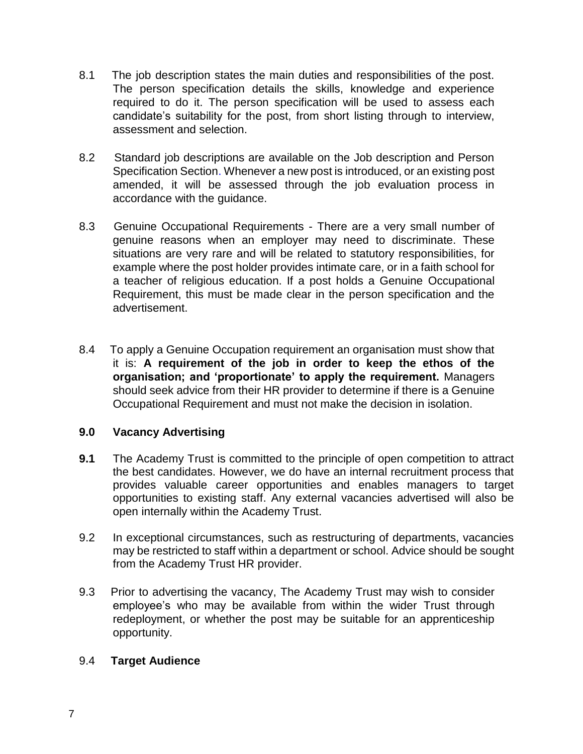- 8.1 The job description states the main duties and responsibilities of the post. The person specification details the skills, knowledge and experience required to do it. The person specification will be used to assess each candidate's suitability for the post, from short listing through to interview, assessment and selection.
- 8.2 Standard job descriptions are available on the Job description and Person Specification Section. Whenever a new post is introduced, or an existing post amended, it will be assessed through the job evaluation process in accordance with the guidance.
- 8.3 Genuine Occupational Requirements There are a very small number of genuine reasons when an employer may need to discriminate. These situations are very rare and will be related to statutory responsibilities, for example where the post holder provides intimate care, or in a faith school for a teacher of religious education. If a post holds a Genuine Occupational Requirement, this must be made clear in the person specification and the advertisement.
- 8.4 To apply a Genuine Occupation requirement an organisation must show that it is: **A requirement of the job in order to keep the ethos of the organisation; and 'proportionate' to apply the requirement.** Managers should seek advice from their HR provider to determine if there is a Genuine Occupational Requirement and must not make the decision in isolation.

#### **9.0 Vacancy Advertising**

- **9.1** The Academy Trust is committed to the principle of open competition to attract the best candidates. However, we do have an internal recruitment process that provides valuable career opportunities and enables managers to target opportunities to existing staff. Any external vacancies advertised will also be open internally within the Academy Trust.
- 9.2 In exceptional circumstances, such as restructuring of departments, vacancies may be restricted to staff within a department or school. Advice should be sought from the Academy Trust HR provider.
- 9.3 Prior to advertising the vacancy, The Academy Trust may wish to consider employee's who may be available from within the wider Trust through redeployment, or whether the post may be suitable for an apprenticeship opportunity.

#### 9.4 **Target Audience**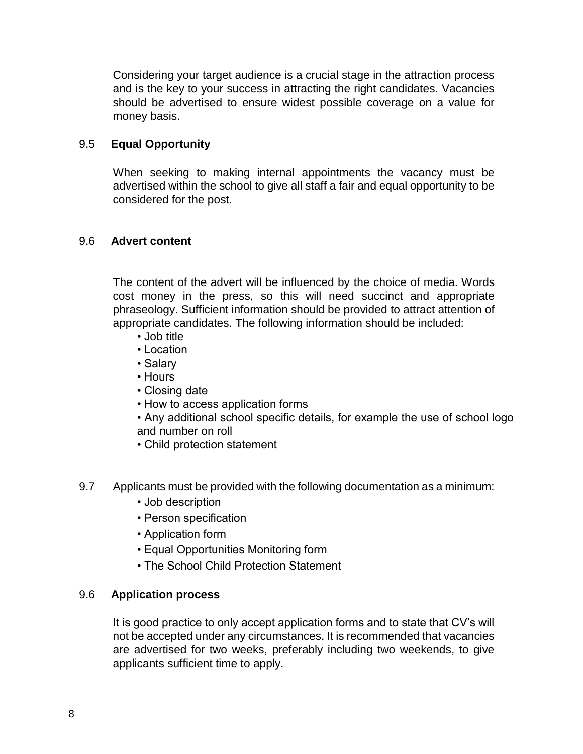Considering your target audience is a crucial stage in the attraction process and is the key to your success in attracting the right candidates. Vacancies should be advertised to ensure widest possible coverage on a value for money basis.

## 9.5 **Equal Opportunity**

When seeking to making internal appointments the vacancy must be advertised within the school to give all staff a fair and equal opportunity to be considered for the post.

## 9.6 **Advert content**

The content of the advert will be influenced by the choice of media. Words cost money in the press, so this will need succinct and appropriate phraseology. Sufficient information should be provided to attract attention of appropriate candidates. The following information should be included:

- Job title
- Location
- Salary
- Hours
- Closing date
- How to access application forms
- Any additional school specific details, for example the use of school logo and number on roll
- Child protection statement
- 9.7 Applicants must be provided with the following documentation as a minimum:
	- Job description
	- Person specification
	- Application form
	- Equal Opportunities Monitoring form
	- The School Child Protection Statement

## 9.6 **Application process**

It is good practice to only accept application forms and to state that CV's will not be accepted under any circumstances. It is recommended that vacancies are advertised for two weeks, preferably including two weekends, to give applicants sufficient time to apply.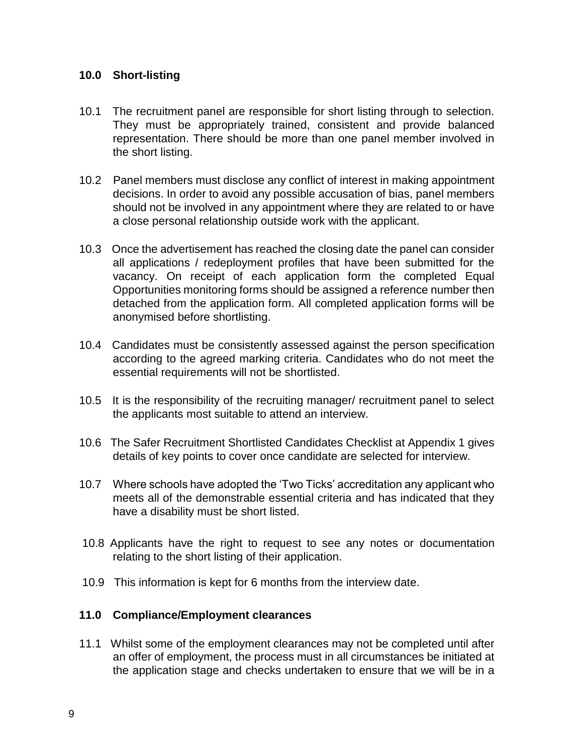#### **10.0 Short-listing**

- 10.1 The recruitment panel are responsible for short listing through to selection. They must be appropriately trained, consistent and provide balanced representation. There should be more than one panel member involved in the short listing.
- 10.2 Panel members must disclose any conflict of interest in making appointment decisions. In order to avoid any possible accusation of bias, panel members should not be involved in any appointment where they are related to or have a close personal relationship outside work with the applicant.
- 10.3 Once the advertisement has reached the closing date the panel can consider all applications / redeployment profiles that have been submitted for the vacancy. On receipt of each application form the completed Equal Opportunities monitoring forms should be assigned a reference number then detached from the application form. All completed application forms will be anonymised before shortlisting.
- 10.4 Candidates must be consistently assessed against the person specification according to the agreed marking criteria. Candidates who do not meet the essential requirements will not be shortlisted.
- 10.5 It is the responsibility of the recruiting manager/ recruitment panel to select the applicants most suitable to attend an interview.
- 10.6 The Safer Recruitment Shortlisted Candidates Checklist at Appendix 1 gives details of key points to cover once candidate are selected for interview.
- 10.7 Where schools have adopted the 'Two Ticks' accreditation any applicant who meets all of the demonstrable essential criteria and has indicated that they have a disability must be short listed.
- 10.8 Applicants have the right to request to see any notes or documentation relating to the short listing of their application.
- 10.9 This information is kept for 6 months from the interview date.

#### **11.0 Compliance/Employment clearances**

11.1 Whilst some of the employment clearances may not be completed until after an offer of employment, the process must in all circumstances be initiated at the application stage and checks undertaken to ensure that we will be in a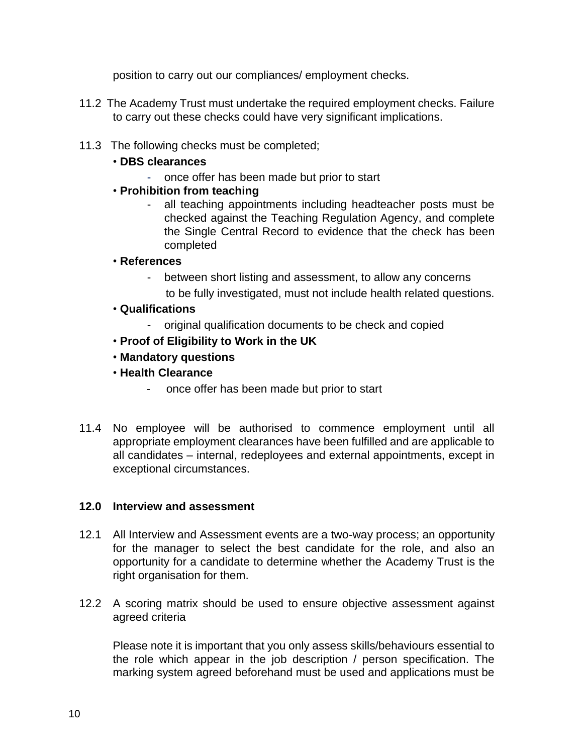position to carry out our compliances/ employment checks.

- 11.2 The Academy Trust must undertake the required employment checks. Failure to carry out these checks could have very significant implications.
- 11.3 The following checks must be completed;
	- **DBS clearances**
		- once offer has been made but prior to start
	- **Prohibition from teaching**
		- all teaching appointments including headteacher posts must be checked against the Teaching Regulation Agency, and complete the Single Central Record to evidence that the check has been completed
	- **References**
		- between short listing and assessment, to allow any concerns to be fully investigated, must not include health related questions.
	- **Qualifications**
		- original qualification documents to be check and copied
	- **Proof of Eligibility to Work in the UK**
	- **Mandatory questions**
	- **Health Clearance**
		- once offer has been made but prior to start
- 11.4 No employee will be authorised to commence employment until all appropriate employment clearances have been fulfilled and are applicable to all candidates – internal, redeployees and external appointments, except in exceptional circumstances.

#### **12.0 Interview and assessment**

- 12.1 All Interview and Assessment events are a two-way process; an opportunity for the manager to select the best candidate for the role, and also an opportunity for a candidate to determine whether the Academy Trust is the right organisation for them.
- 12.2 A scoring matrix should be used to ensure objective assessment against agreed criteria

Please note it is important that you only assess skills/behaviours essential to the role which appear in the job description / person specification. The marking system agreed beforehand must be used and applications must be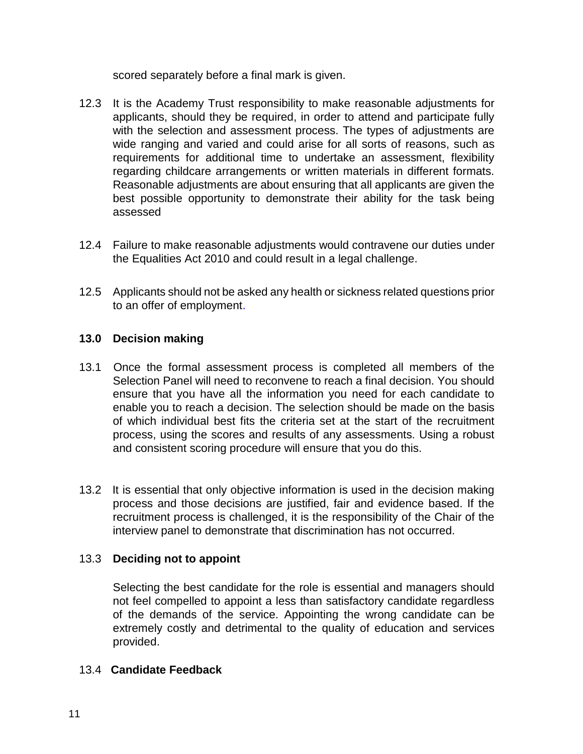scored separately before a final mark is given.

- 12.3 It is the Academy Trust responsibility to make reasonable adjustments for applicants, should they be required, in order to attend and participate fully with the selection and assessment process. The types of adjustments are wide ranging and varied and could arise for all sorts of reasons, such as requirements for additional time to undertake an assessment, flexibility regarding childcare arrangements or written materials in different formats. Reasonable adjustments are about ensuring that all applicants are given the best possible opportunity to demonstrate their ability for the task being assessed
- 12.4 Failure to make reasonable adjustments would contravene our duties under the Equalities Act 2010 and could result in a legal challenge.
- 12.5 Applicants should not be asked any health or sickness related questions prior to an offer of employment.

## **13.0 Decision making**

- 13.1 Once the formal assessment process is completed all members of the Selection Panel will need to reconvene to reach a final decision. You should ensure that you have all the information you need for each candidate to enable you to reach a decision. The selection should be made on the basis of which individual best fits the criteria set at the start of the recruitment process, using the scores and results of any assessments. Using a robust and consistent scoring procedure will ensure that you do this.
- 13.2 It is essential that only objective information is used in the decision making process and those decisions are justified, fair and evidence based. If the recruitment process is challenged, it is the responsibility of the Chair of the interview panel to demonstrate that discrimination has not occurred.

#### 13.3 **Deciding not to appoint**

Selecting the best candidate for the role is essential and managers should not feel compelled to appoint a less than satisfactory candidate regardless of the demands of the service. Appointing the wrong candidate can be extremely costly and detrimental to the quality of education and services provided.

#### 13.4 **Candidate Feedback**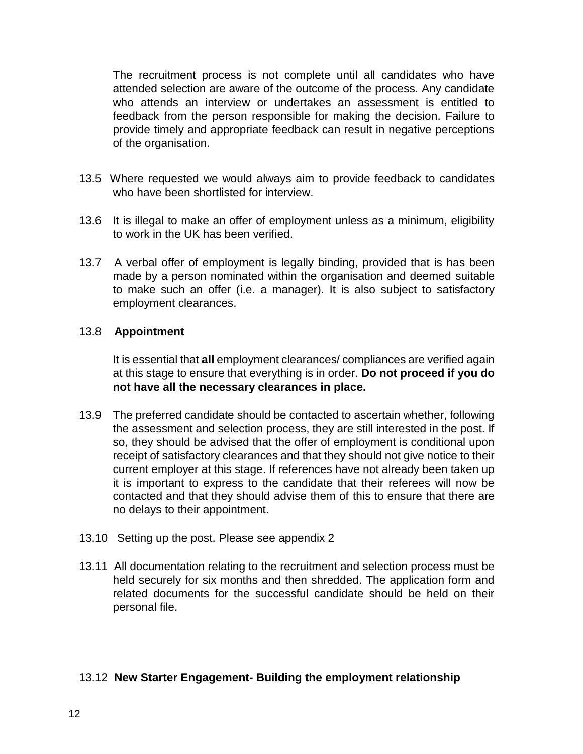The recruitment process is not complete until all candidates who have attended selection are aware of the outcome of the process. Any candidate who attends an interview or undertakes an assessment is entitled to feedback from the person responsible for making the decision. Failure to provide timely and appropriate feedback can result in negative perceptions of the organisation.

- 13.5 Where requested we would always aim to provide feedback to candidates who have been shortlisted for interview.
- 13.6 It is illegal to make an offer of employment unless as a minimum, eligibility to work in the UK has been verified.
- 13.7 A verbal offer of employment is legally binding, provided that is has been made by a person nominated within the organisation and deemed suitable to make such an offer (i.e. a manager). It is also subject to satisfactory employment clearances.

#### 13.8 **Appointment**

It is essential that **all** employment clearances/ compliances are verified again at this stage to ensure that everything is in order. **Do not proceed if you do not have all the necessary clearances in place.** 

- 13.9 The preferred candidate should be contacted to ascertain whether, following the assessment and selection process, they are still interested in the post. If so, they should be advised that the offer of employment is conditional upon receipt of satisfactory clearances and that they should not give notice to their current employer at this stage. If references have not already been taken up it is important to express to the candidate that their referees will now be contacted and that they should advise them of this to ensure that there are no delays to their appointment.
- 13.10 Setting up the post. Please see appendix 2
- 13.11 All documentation relating to the recruitment and selection process must be held securely for six months and then shredded. The application form and related documents for the successful candidate should be held on their personal file.

## 13.12 **New Starter Engagement- Building the employment relationship**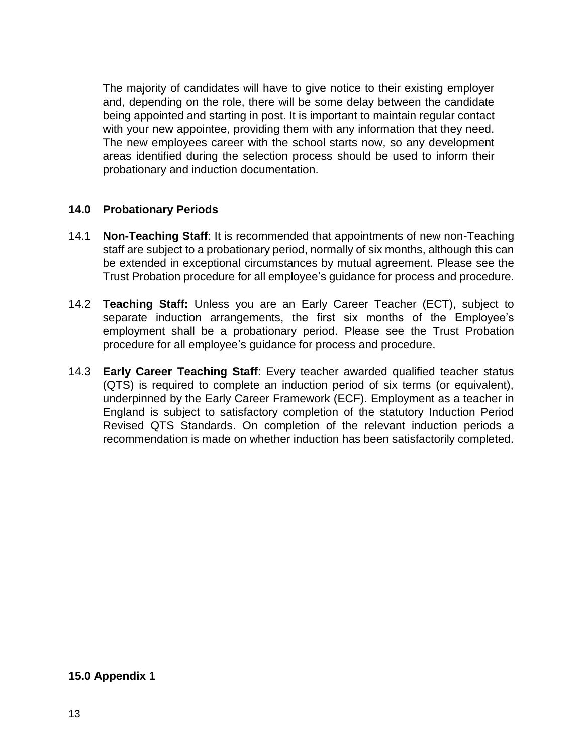The majority of candidates will have to give notice to their existing employer and, depending on the role, there will be some delay between the candidate being appointed and starting in post. It is important to maintain regular contact with your new appointee, providing them with any information that they need. The new employees career with the school starts now, so any development areas identified during the selection process should be used to inform their probationary and induction documentation.

## **14.0 Probationary Periods**

- 14.1 **Non-Teaching Staff**: It is recommended that appointments of new non-Teaching staff are subject to a probationary period, normally of six months, although this can be extended in exceptional circumstances by mutual agreement. Please see the Trust Probation procedure for all employee's guidance for process and procedure.
- 14.2 **Teaching Staff:** Unless you are an Early Career Teacher (ECT), subject to separate induction arrangements, the first six months of the Employee's employment shall be a probationary period. Please see the Trust Probation procedure for all employee's guidance for process and procedure.
- 14.3 **Early Career Teaching Staff**: Every teacher awarded qualified teacher status (QTS) is required to complete an induction period of six terms (or equivalent), underpinned by the Early Career Framework (ECF). Employment as a teacher in England is subject to satisfactory completion of the statutory Induction Period Revised QTS Standards. On completion of the relevant induction periods a recommendation is made on whether induction has been satisfactorily completed.

#### **15.0 Appendix 1**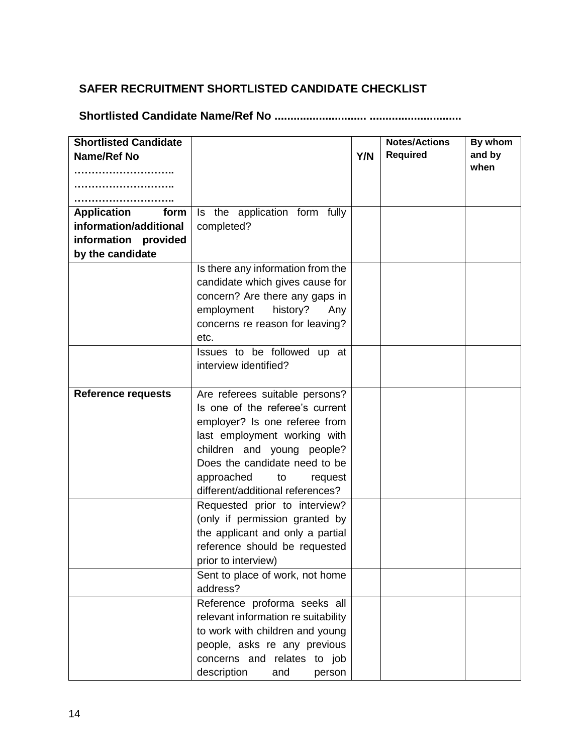## **SAFER RECRUITMENT SHORTLISTED CANDIDATE CHECKLIST**

**Shortlisted Candidate Name/Ref No ............................. .............................**

| <b>Shortlisted Candidate</b> |                                     |     | <b>Notes/Actions</b> | By whom |
|------------------------------|-------------------------------------|-----|----------------------|---------|
| <b>Name/Ref No</b>           |                                     | Y/N | <b>Required</b>      | and by  |
|                              |                                     |     |                      | when    |
|                              |                                     |     |                      |         |
|                              |                                     |     |                      |         |
| <b>Application</b><br>form   | Is the application form fully       |     |                      |         |
| information/additional       | completed?                          |     |                      |         |
| information provided         |                                     |     |                      |         |
| by the candidate             |                                     |     |                      |         |
|                              | Is there any information from the   |     |                      |         |
|                              | candidate which gives cause for     |     |                      |         |
|                              | concern? Are there any gaps in      |     |                      |         |
|                              | employment<br>history?<br>Any       |     |                      |         |
|                              | concerns re reason for leaving?     |     |                      |         |
|                              | etc.                                |     |                      |         |
|                              | Issues to be followed up at         |     |                      |         |
|                              | interview identified?               |     |                      |         |
|                              |                                     |     |                      |         |
| <b>Reference requests</b>    | Are referees suitable persons?      |     |                      |         |
|                              | Is one of the referee's current     |     |                      |         |
|                              | employer? Is one referee from       |     |                      |         |
|                              | last employment working with        |     |                      |         |
|                              | children and young people?          |     |                      |         |
|                              | Does the candidate need to be       |     |                      |         |
|                              | approached<br>to<br>request         |     |                      |         |
|                              | different/additional references?    |     |                      |         |
|                              | Requested prior to interview?       |     |                      |         |
|                              | (only if permission granted by      |     |                      |         |
|                              | the applicant and only a partial    |     |                      |         |
|                              | reference should be requested       |     |                      |         |
|                              | prior to interview)                 |     |                      |         |
|                              | Sent to place of work, not home     |     |                      |         |
|                              | address?                            |     |                      |         |
|                              | Reference proforma seeks all        |     |                      |         |
|                              | relevant information re suitability |     |                      |         |
|                              | to work with children and young     |     |                      |         |
|                              | people, asks re any previous        |     |                      |         |
|                              | concerns and relates to job         |     |                      |         |
|                              | description<br>and<br>person        |     |                      |         |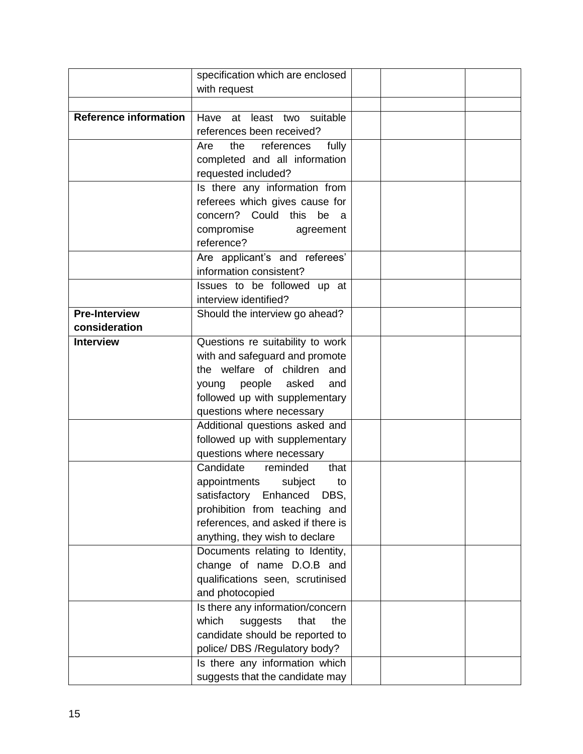|                              | specification which are enclosed                   |  |  |
|------------------------------|----------------------------------------------------|--|--|
|                              | with request                                       |  |  |
|                              |                                                    |  |  |
| <b>Reference information</b> | Have<br>at least two suitable                      |  |  |
|                              | references been received?                          |  |  |
|                              | the<br>references<br>fully<br>Are                  |  |  |
|                              | completed and all information                      |  |  |
|                              | requested included?                                |  |  |
|                              | Is there any information from                      |  |  |
|                              |                                                    |  |  |
|                              | referees which gives cause for                     |  |  |
|                              | concern? Could this be a                           |  |  |
|                              | compromise<br>agreement                            |  |  |
|                              | reference?                                         |  |  |
|                              | Are applicant's and referees'                      |  |  |
|                              | information consistent?                            |  |  |
|                              | Issues to be followed up at                        |  |  |
|                              | interview identified?                              |  |  |
| <b>Pre-Interview</b>         | Should the interview go ahead?                     |  |  |
| consideration                |                                                    |  |  |
| <b>Interview</b>             | Questions re suitability to work                   |  |  |
|                              | with and safeguard and promote                     |  |  |
|                              | the welfare of children and                        |  |  |
|                              | young people<br>asked<br>and                       |  |  |
|                              | followed up with supplementary                     |  |  |
|                              | questions where necessary                          |  |  |
|                              | Additional questions asked and                     |  |  |
|                              | followed up with supplementary                     |  |  |
|                              |                                                    |  |  |
|                              | questions where necessary<br>Candidate<br>reminded |  |  |
|                              | that                                               |  |  |
|                              | appointments<br>subject<br>to                      |  |  |
|                              | DBS,<br>satisfactory Enhanced                      |  |  |
|                              | prohibition from teaching and                      |  |  |
|                              | references, and asked if there is                  |  |  |
|                              | anything, they wish to declare                     |  |  |
|                              | Documents relating to Identity,                    |  |  |
|                              | change of name D.O.B and                           |  |  |
|                              | qualifications seen, scrutinised                   |  |  |
|                              | and photocopied                                    |  |  |
|                              | Is there any information/concern                   |  |  |
|                              | which<br>suggests<br>that<br>the                   |  |  |
|                              | candidate should be reported to                    |  |  |
|                              | police/ DBS / Regulatory body?                     |  |  |
|                              | Is there any information which                     |  |  |
|                              | suggests that the candidate may                    |  |  |
|                              |                                                    |  |  |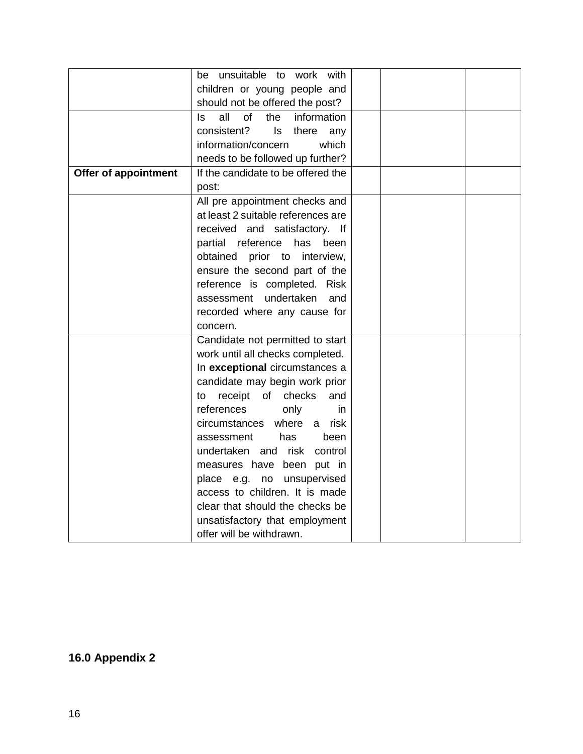|                      | unsuitable to<br>work<br>with<br>be              |  |  |
|----------------------|--------------------------------------------------|--|--|
|                      | children or young people and                     |  |  |
|                      | should not be offered the post?                  |  |  |
|                      | all<br>of<br>the<br>$\mathsf{ls}$<br>information |  |  |
|                      | consistent?<br>ls<br>there<br>any                |  |  |
|                      | information/concern<br>which                     |  |  |
|                      | needs to be followed up further?                 |  |  |
| Offer of appointment | If the candidate to be offered the               |  |  |
|                      | post:                                            |  |  |
|                      | All pre appointment checks and                   |  |  |
|                      | at least 2 suitable references are               |  |  |
|                      | received and satisfactory. If                    |  |  |
|                      | partial<br>reference<br>has been                 |  |  |
|                      | obtained prior to interview,                     |  |  |
|                      | ensure the second part of the                    |  |  |
|                      | reference is completed. Risk                     |  |  |
|                      | undertaken<br>assessment<br>and                  |  |  |
|                      | recorded where any cause for                     |  |  |
|                      | concern.                                         |  |  |
|                      | Candidate not permitted to start                 |  |  |
|                      | work until all checks completed.                 |  |  |
|                      | In exceptional circumstances a                   |  |  |
|                      | candidate may begin work prior                   |  |  |
|                      | receipt of<br>checks<br>and<br>to                |  |  |
|                      | references<br>only<br>in                         |  |  |
|                      | circumstances where<br>a risk                    |  |  |
|                      | assessment<br>has<br>been                        |  |  |
|                      | undertaken and<br>risk<br>control                |  |  |
|                      | measures have been put in                        |  |  |
|                      | place e.g. no unsupervised                       |  |  |
|                      | access to children. It is made                   |  |  |
|                      | clear that should the checks be                  |  |  |
|                      | unsatisfactory that employment                   |  |  |
|                      | offer will be withdrawn.                         |  |  |

## **16.0 Appendix 2**